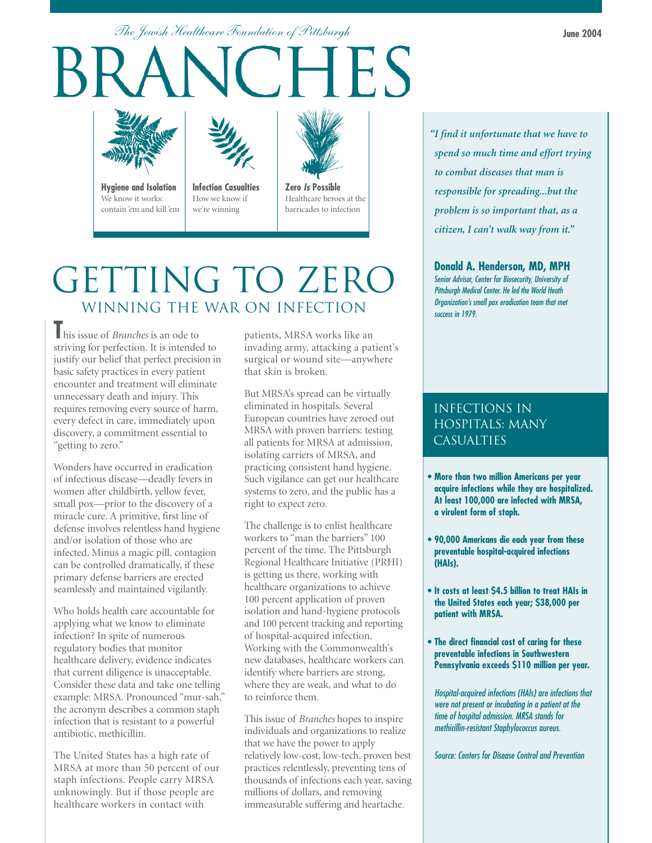*The Jewish Healthcare Foundation of Pittsburgh*





**Hygiene and Isolation** We know it works: contain 'em and kill 'em



**Infection Casualties** How we know if we're winning



**Zero** *Is* **Possible** Healthcare heroes at the barricades to infection

# GETTING TO ZERO WINNING THE WAR ON INFECTION

**T**his issue of *Branches* is an ode to striving for perfection. It is intended to justify our belief that perfect precision in basic safety practices in every patient encounter and treatment will eliminate unnecessary death and injury. This requires removing every source of harm, every defect in care, immediately upon discovery, a commitment essential to "getting to zero."

Wonders have occurred in eradication of infectious disease—deadly fevers in women after childbirth, yellow fever, small pox—prior to the discovery of a miracle cure. A primitive, first line of defense involves relentless hand hygiene and/or isolation of those who are infected. Minus a magic pill, contagion can be controlled dramatically, if these primary defense barriers are erected seamlessly and maintained vigilantly.

Who holds health care accountable for applying what we know to eliminate infection? In spite of numerous regulatory bodies that monitor healthcare delivery, evidence indicates that current diligence is unacceptable. Consider these data and take one telling example: MRSA. Pronounced "mur-sah," the acronym describes a common staph infection that is resistant to a powerful antibiotic, methicillin.

The United States has a high rate of MRSA at more than 50 percent of our staph infections. People carry MRSA unknowingly. But if those people are healthcare workers in contact with

patients, MRSA works like an invading army, attacking a patient's surgical or wound site—anywhere that skin is broken.

But MRSA's spread can be virtually eliminated in hospitals. Several European countries have zeroed out MRSA with proven barriers: testing all patients for MRSA at admission, isolating carriers of MRSA, and practicing consistent hand hygiene. Such vigilance can get our healthcare systems to zero, and the public has a right to expect zero.

The challenge is to enlist healthcare workers to "man the barriers" 100 percent of the time. The Pittsburgh Regional Healthcare Initiative (PRHI) is getting us there, working with healthcare organizations to achieve 100 percent application of proven isolation and hand-hygiene protocols and 100 percent tracking and reporting of hospital-acquired infection. Working with the Commonwealth's new databases, healthcare workers can identify where barriers are strong, where they are weak, and what to do to reinforce them.

This issue of *Branches* hopes to inspire individuals and organizations to realize that we have the power to apply relatively low-cost, low-tech, proven best practices relentlessly, preventing tens of thousands of infections each year, saving millions of dollars, and removing immeasurable suffering and heartache.

*"I find it unfortunate that we have to spend so much time and effort trying to combat diseases that man is responsible for spreading...but the problem is so important that, as a citizen, I can't walk way from it."*

### **Donald A. Henderson, MD, MPH**

*Senior Advisor, Center for Biosecurity, University of Pittsburgh Medical Center. He led the World Heath Organization's small pox eradication team that met success in 1979.*

## infections in hospitals: many **CASUALTIES**

- **More than two million Americans per year acquire infections while they are hospitalized. At least 100,000 are infected with MRSA, a virulent form of staph.**
- **90,000 Americans die each year from these preventable hospital-acquired infections (HAIs).**
- **It costs at least \$4.5 billion to treat HAIs in the United States each year; \$38,000 per patient with MRSA.**
- **The direct financial cost of caring for these preventable infections in Southwestern Pennsylvania exceeds \$110 million per year.**

*Hospital-acquired infections (HAIs) are infections that were not present or incubating in a patient at the time of hospital admission. MRSA stands for methicillin-resistant Staphylococcus aureus.*

*Source: Centers for Disease Control and Prevention*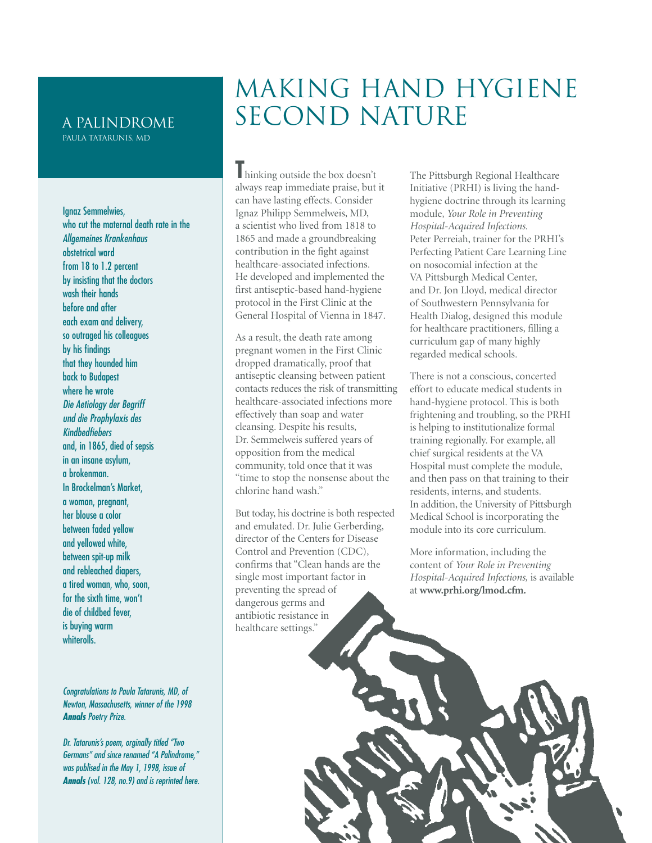#### a palindrome Paula Tatarunis, MD

Ignaz Semmelwies, who cut the maternal death rate in the *Allgemeines Krankenhaus* obstetrical ward from 18 to 1.2 percent by insisting that the doctors wash their hands before and after each exam and delivery, so outraged his colleagues by his findings that they hounded him back to Budapest where he wrote *Die Aetiology der Begriff und die Prophylaxis des Kindbedfiebers* and, in 1865, died of sepsis in an insane asylum, a brokenman. In Brockelman's Market, a woman, pregnant, her blouse a color between faded yellow and yellowed white, between spit-up milk and rebleached diapers, a tired woman, who, soon, for the sixth time, won't die of childbed fever, is buying warm **whiterolls** 

*Congratulations to Paula Tatarunis, MD, of Newton, Massachusetts, winner of the 1998 Annals Poetry Prize.*

*Dr. Tatarunis's poem, orginally titled "Two Germans" and since renamed "A Palindrome," was publised in the May 1, 1998, issue of Annals (vol. 128, no.9) and is reprinted here.*

# MAKING HAND HYGIENE SECOND NATURE

**T**hinking outside the box doesn't always reap immediate praise, but it can have lasting effects. Consider Ignaz Philipp Semmelweis, MD, a scientist who lived from 1818 to 1865 and made a groundbreaking contribution in the fight against healthcare-associated infections. He developed and implemented the first antiseptic-based hand-hygiene protocol in the First Clinic at the General Hospital of Vienna in 1847.

As a result, the death rate among pregnant women in the First Clinic dropped dramatically, proof that antiseptic cleansing between patient contacts reduces the risk of transmitting healthcare-associated infections more effectively than soap and water cleansing. Despite his results, Dr. Semmelweis suffered years of opposition from the medical community, told once that it was "time to stop the nonsense about the chlorine hand wash."

But today, his doctrine is both respected and emulated. Dr. Julie Gerberding, director of the Centers for Disease Control and Prevention (CDC), confirms that "Clean hands are the single most important factor in preventing the spread of dangerous germs and antibiotic resistance in healthcare settings."

The Pittsburgh Regional Healthcare Initiative (PRHI) is living the handhygiene doctrine through its learning module, *Your Role in Preventing Hospital-Acquired Infections.* Peter Perreiah, trainer for the PRHI's Perfecting Patient Care Learning Line on nosocomial infection at the VA Pittsburgh Medical Center, and Dr. Jon Lloyd, medical director of Southwestern Pennsylvania for Health Dialog, designed this module for healthcare practitioners, filling a curriculum gap of many highly regarded medical schools.

There is not a conscious, concerted effort to educate medical students in hand-hygiene protocol. This is both frightening and troubling, so the PRHI is helping to institutionalize formal training regionally. For example, all chief surgical residents at the VA Hospital must complete the module, and then pass on that training to their residents, interns, and students. In addition, the University of Pittsburgh Medical School is incorporating the module into its core curriculum.

More information, including the content of *Your Role in Preventing Hospital-Acquired Infections,* is available at **www.prhi.org/lmod.cfm.**

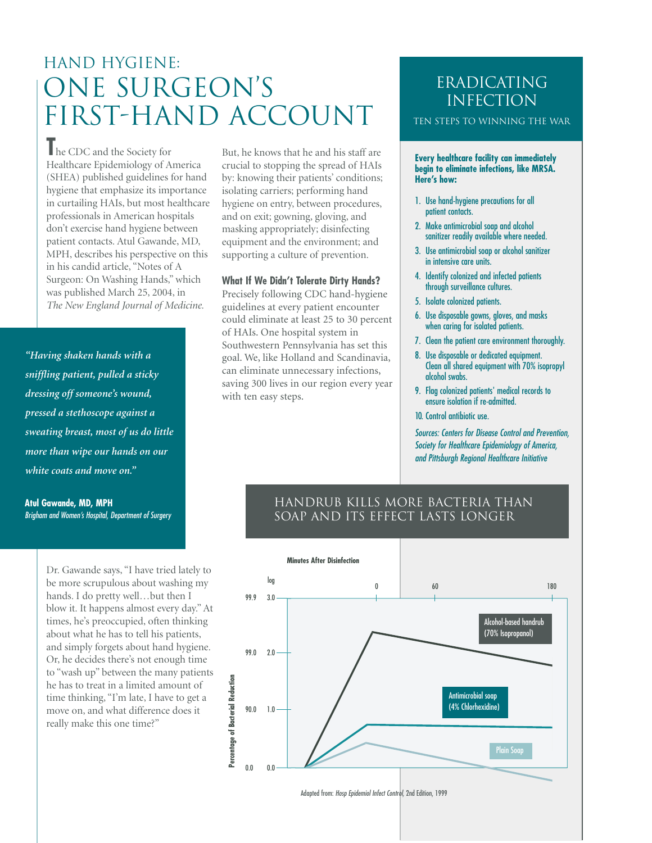# HAND HYGIENE: ONE SURGEON'S FIRST-HAND ACCOUNT

**T**he CDC and the Society for Healthcare Epidemiology of America (SHEA) published guidelines for hand hygiene that emphasize its importance in curtailing HAIs, but most healthcare professionals in American hospitals don't exercise hand hygiene between patient contacts. Atul Gawande, MD, MPH, describes his perspective on this in his candid article, "Notes of A Surgeon: On Washing Hands," which was published March 25, 2004, in *The New England Journal of Medicine.*

*"Having shaken hands with a sniffling patient, pulled a sticky dressing off someone's wound, pressed a stethoscope against a sweating breast, most of us do little more than wipe our hands on our white coats and move on."*

**Atul Gawande, MD, MPH** *Brigham and Women's Hospital, Department of Surgery*

> Dr. Gawande says, "I have tried lately to be more scrupulous about washing my hands. I do pretty well…but then I blow it. It happens almost every day." At times, he's preoccupied, often thinking about what he has to tell his patients, and simply forgets about hand hygiene. Or, he decides there's not enough time to "wash up" between the many patients he has to treat in a limited amount of time thinking, "I'm late, I have to get a move on, and what difference does it really make this one time?"

But, he knows that he and his staff are crucial to stopping the spread of HAIs by: knowing their patients' conditions; isolating carriers; performing hand hygiene on entry, between procedures, and on exit; gowning, gloving, and masking appropriately; disinfecting equipment and the environment; and supporting a culture of prevention.

#### **What If We Didn't Tolerate Dirty Hands?**

Precisely following CDC hand-hygiene guidelines at every patient encounter could eliminate at least 25 to 30 percent of HAIs. One hospital system in Southwestern Pennsylvania has set this goal. We, like Holland and Scandinavia, can eliminate unnecessary infections, saving 300 lives in our region every year with ten easy steps.

# ERADICATING **INFECTION**

Ten steps to winning the war

**Every healthcare facility can immediately begin to eliminate infections, like MRSA. Here's how:**

- 1. Use hand-hygiene precautions for all patient contacts.
- 2. Make antimicrobial soap and alcohol sanitizer readily available where needed.
- 3. Use antimicrobial soap or alcohol sanitizer in intensive care units.
- 4. Identify colonized and infected patients through surveillance cultures.
- 5. Isolate colonized patients.
- 6. Use disposable gowns, gloves, and masks when caring for isolated patients.
- 7. Clean the patient care environment thoroughly.
- 8. Use disposable or dedicated equipment. Clean all shared equipment with 70% isopropyl alcohol swabs.
- 9. Flag colonized patients' medical records to ensure isolation if re-admitted.
- 10. Control antibiotic use.

*Sources: Centers for Disease Control and Prevention, Society for Healthcare Epidemiology of America, and Pittsburgh Regional Healthcare Initiative*

### Handrub Kills More Bacteria Than Soap and Its Effect Lasts Longer

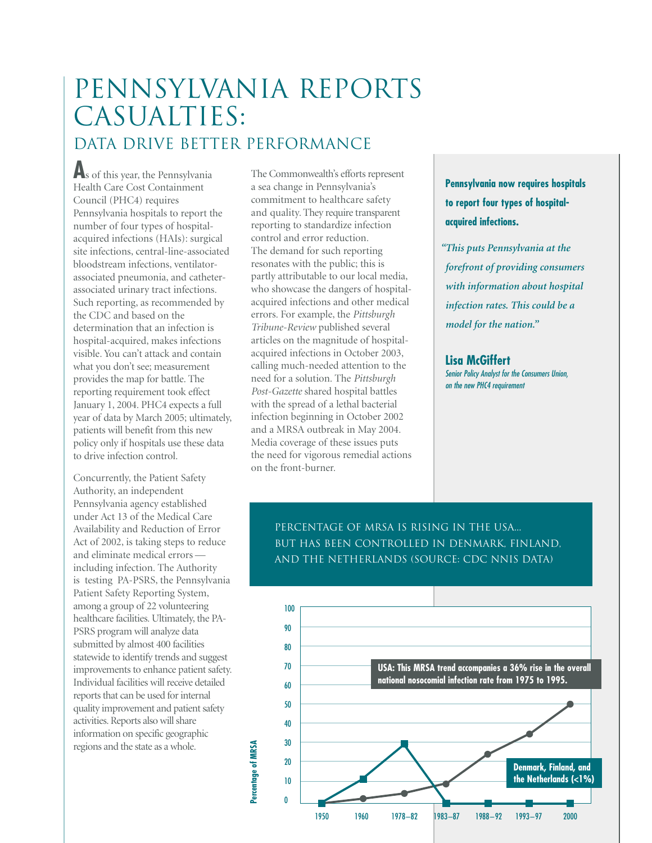# PENNSYLVANIA REPORTS CASUALTIES:

# DATA DRIVE BETTER PERFORMANCE

As of this year, the Pennsylvania Health Care Cost Containment Council (PHC4) requires Pennsylvania hospitals to report the number of four types of hospitalacquired infections (HAIs): surgical site infections, central-line-associated bloodstream infections, ventilatorassociated pneumonia, and catheterassociated urinary tract infections. Such reporting, as recommended by the CDC and based on the determination that an infection is hospital-acquired, makes infections visible. You can't attack and contain what you don't see; measurement provides the map for battle. The reporting requirement took effect January 1, 2004. PHC4 expects a full year of data by March 2005; ultimately, patients will benefit from this new policy only if hospitals use these data to drive infection control.

Concurrently, the Patient Safety Authority, an independent Pennsylvania agency established under Act 13 of the Medical Care Availability and Reduction of Error Act of 2002, is taking steps to reduce and eliminate medical errors including infection. The Authority is testing PA-PSRS, the Pennsylvania Patient Safety Reporting System, among a group of 22 volunteering healthcare facilities. Ultimately, the PA-PSRS program will analyze data submitted by almost 400 facilities statewide to identify trends and suggest improvements to enhance patient safety. Individual facilities will receive detailed reports that can be used for internal quality improvement and patient safety activities. Reports also will share information on specific geographic regions and the state as a whole.

The Commonwealth's efforts represent a sea change in Pennsylvania's commitment to healthcare safety and quality. They require transparent reporting to standardize infection control and error reduction. The demand for such reporting resonates with the public; this is partly attributable to our local media, who showcase the dangers of hospitalacquired infections and other medical errors. For example, the *Pittsburgh Tribune-Review* published several articles on the magnitude of hospitalacquired infections in October 2003, calling much-needed attention to the need for a solution. The *Pittsburgh Post-Gazette* shared hospital battles with the spread of a lethal bacterial infection beginning in October 2002 and a MRSA outbreak in May 2004. Media coverage of these issues puts the need for vigorous remedial actions on the front-burner.

**Pennsylvania now requires hospitals to report four types of hospitalacquired infections.**

*"This puts Pennsylvania at the forefront of providing consumers with information about hospital infection rates. This could be a model for the nation."*

**Lisa McGiffert** *Senior Policy Analyst for the Consumers Union, on the new PHC4 requirement*

Percentage of MRSA is Rising in the USA... But has been Controlled in Denmark, Finland, and the Netherlands (Source: CDC NNIS data)

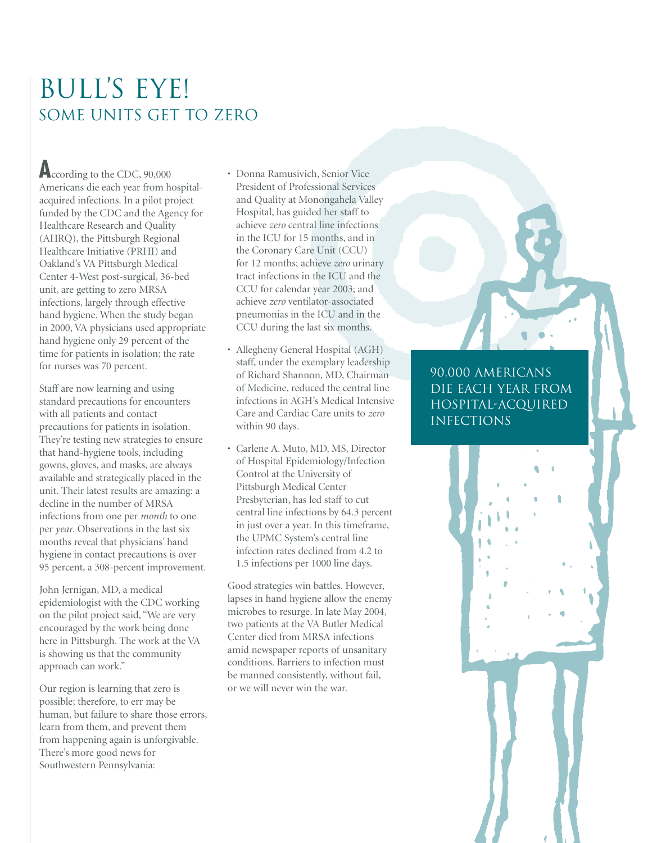# BULL'S EYE! SOME UNITS GET TO ZERO

**A**ccording to the CDC, 90,000 Americans die each year from hospitalacquired infections. In a pilot project funded by the CDC and the Agency for Healthcare Research and Quality (AHRQ), the Pittsburgh Regional Healthcare Initiative (PRHI) and Oakland's VA Pittsburgh Medical Center 4-West post-surgical, 36-bed unit, are getting to zero MRSA infections, largely through effective hand hygiene. When the study began in 2000, VA physicians used appropriate hand hygiene only 29 percent of the time for patients in isolation; the rate for nurses was 70 percent.

Staff are now learning and using standard precautions for encounters with all patients and contact precautions for patients in isolation. They're testing new strategies to ensure that hand-hygiene tools, including gowns, gloves, and masks, are always available and strategically placed in the unit. Their latest results are amazing: a decline in the number of MRSA infections from one per *month* to one per *year*. Observations in the last six months reveal that physicians' hand hygiene in contact precautions is over 95 percent, a 308-percent improvement.

John Jernigan, MD, a medical epidemiologist with the CDC working on the pilot project said, "We are very encouraged by the work being done here in Pittsburgh. The work at the VA is showing us that the community approach can work."

Our region is learning that zero is possible; therefore, to err may be human, but failure to share those errors, learn from them, and prevent them from happening again is unforgivable. There's more good news for Southwestern Pennsylvania:

• Donna Ramusivich, Senior Vice President of Professional Services and Quality at Monongahela Valley Hospital, has guided her staff to achieve *zero* central line infections in the ICU for 15 months, and in the Coronary Care Unit (CCU) for 12 months; achieve *zero* urinary tract infections in the ICU and the CCU for calendar year 2003; and achieve *zero* ventilator-associated pneumonias in the ICU and in the CCU during the last six months.

- Allegheny General Hospital (AGH) staff, under the exemplary leadership of Richard Shannon, MD, Chairman of Medicine, reduced the central line infections in AGH's Medical Intensive Care and Cardiac Care units to *zero* within 90 days.
- Carlene A. Muto, MD, MS, Director of Hospital Epidemiology/Infection Control at the University of Pittsburgh Medical Center Presbyterian, has led staff to cut central line infections by 64.3 percent in just over a year. In this timeframe, the UPMC System's central line infection rates declined from 4.2 to 1.5 infections per 1000 line days.

Good strategies win battles. However, lapses in hand hygiene allow the enemy microbes to resurge. In late May 2004, two patients at the VA Butler Medical Center died from MRSA infections amid newspaper reports of unsanitary conditions. Barriers to infection must be manned consistently, without fail, or we will never win the war.

# 90,000 Americans die each year from hospital-acquired **INFECTIONS**